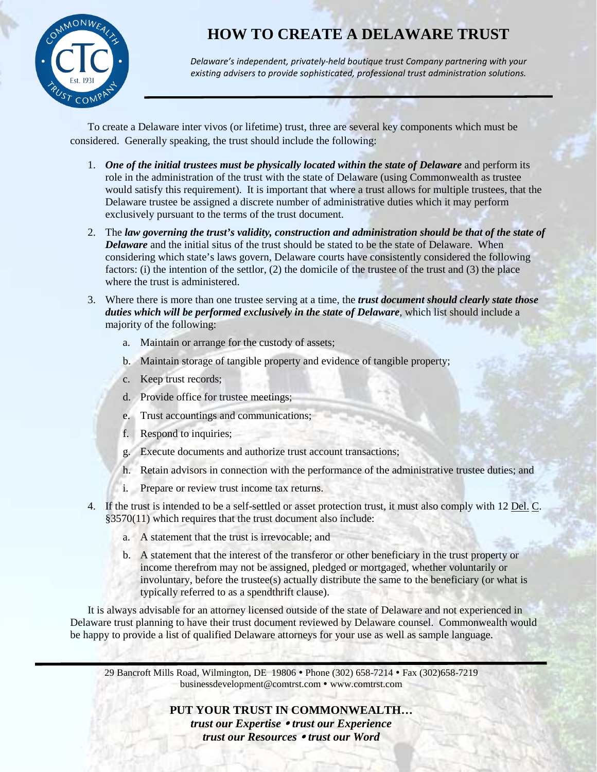**HOW TO CREATE A DELAWARE TRUST**



*Delaware's independent, privately-held boutique trust Company partnering with your existing advisers to provide sophisticated, professional trust administration solutions.*

To create a Delaware inter vivos (or lifetime) trust, three are several key components which must be considered. Generally speaking, the trust should include the following:

- 1. *One of the initial trustees must be physically located within the state of Delaware* and perform its role in the administration of the trust with the state of Delaware (using Commonwealth as trustee would satisfy this requirement). It is important that where a trust allows for multiple trustees, that the Delaware trustee be assigned a discrete number of administrative duties which it may perform exclusively pursuant to the terms of the trust document.
- 2. The *law governing the trust's validity, construction and administration should be that of the state of Delaware* and the initial situs of the trust should be stated to be the state of Delaware. When considering which state's laws govern, Delaware courts have consistently considered the following factors: (i) the intention of the settlor, (2) the domicile of the trustee of the trust and (3) the place where the trust is administered.
- 3. Where there is more than one trustee serving at a time, the *trust document should clearly state those duties which will be performed exclusively in the state of Delaware*, which list should include a majority of the following:
	- a. Maintain or arrange for the custody of assets;
	- b. Maintain storage of tangible property and evidence of tangible property;
	- c. Keep trust records;
	- d. Provide office for trustee meetings;
	- e. Trust accountings and communications;
	- f. Respond to inquiries;
	- g. Execute documents and authorize trust account transactions;
	- h. Retain advisors in connection with the performance of the administrative trustee duties; and
	- i. Prepare or review trust income tax returns.
- 4. If the trust is intended to be a self-settled or asset protection trust, it must also comply with 12 Del. C. §3570(11) which requires that the trust document also include:
	- a. A statement that the trust is irrevocable; and
	- b. A statement that the interest of the transferor or other beneficiary in the trust property or income therefrom may not be assigned, pledged or mortgaged, whether voluntarily or involuntary, before the trustee(s) actually distribute the same to the beneficiary (or what is typically referred to as a spendthrift clause).

It is always advisable for an attorney licensed outside of the state of Delaware and not experienced in Delaware trust planning to have their trust document reviewed by Delaware counsel. Commonwealth would be happy to provide a list of qualified Delaware attorneys for your use as well as sample language.

29 Bancroft Mills Road, Wilmington, DE 19806 Phone (302) 658-7214 Fax (302)658-7219 [businessdevelopment@comtrst.com](mailto:businessdevelopment@comtrst.com) www.comtrst.com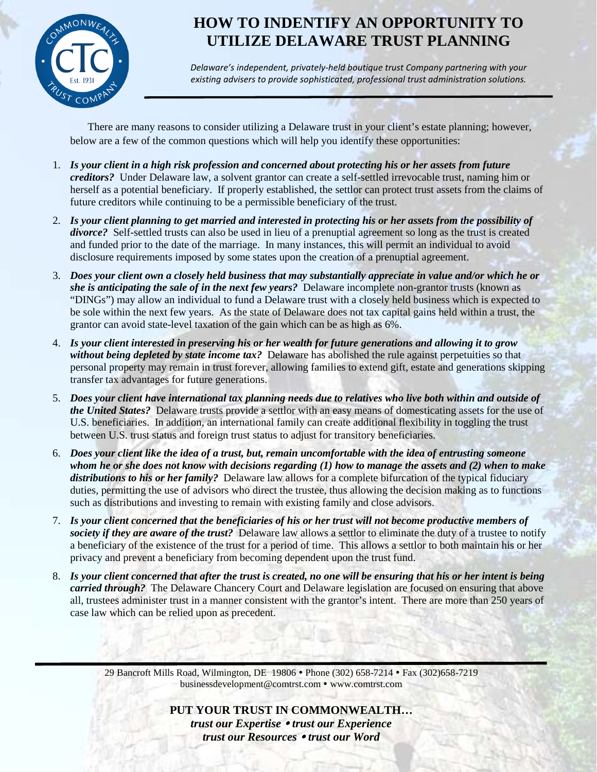

# **HOW TO INDENTIFY AN OPPORTUNITY TO UTILIZE DELAWARE TRUST PLANNING**

*Delaware's independent, privately-held boutique trust Company partnering with your existing advisers to provide sophisticated, professional trust administration solutions.*

There are many reasons to consider utilizing a Delaware trust in your client's estate planning; however, below are a few of the common questions which will help you identify these opportunities:

- 1. *Is your client in a high risk profession and concerned about protecting his or her assets from future creditors?* Under Delaware law, a solvent grantor can create a self-settled irrevocable trust, naming him or herself as a potential beneficiary. If properly established, the settlor can protect trust assets from the claims of future creditors while continuing to be a permissible beneficiary of the trust.
- 2. *Is your client planning to get married and interested in protecting his or her assets from the possibility of divorce?* Self-settled trusts can also be used in lieu of a prenuptial agreement so long as the trust is created and funded prior to the date of the marriage. In many instances, this will permit an individual to avoid disclosure requirements imposed by some states upon the creation of a prenuptial agreement.
- 3. *Does your client own a closely held business that may substantially appreciate in value and/or which he or she is anticipating the sale of in the next few years?* Delaware incomplete non-grantor trusts (known as "DINGs") may allow an individual to fund a Delaware trust with a closely held business which is expected to be sole within the next few years. As the state of Delaware does not tax capital gains held within a trust, the grantor can avoid state-level taxation of the gain which can be as high as 6%.
- 4. *Is your client interested in preserving his or her wealth for future generations and allowing it to grow without being depleted by state income tax?* Delaware has abolished the rule against perpetuities so that personal property may remain in trust forever, allowing families to extend gift, estate and generations skipping transfer tax advantages for future generations.
- 5. *Does your client have international tax planning needs due to relatives who live both within and outside of the United States?* Delaware trusts provide a settlor with an easy means of domesticating assets for the use of U.S. beneficiaries. In addition, an international family can create additional flexibility in toggling the trust between U.S. trust status and foreign trust status to adjust for transitory beneficiaries.
- 6. *Does your client like the idea of a trust, but, remain uncomfortable with the idea of entrusting someone whom he or she does not know with decisions regarding (1) how to manage the assets and (2) when to make distributions to his or her family?* Delaware law allows for a complete bifurcation of the typical fiduciary duties, permitting the use of advisors who direct the trustee, thus allowing the decision making as to functions such as distributions and investing to remain with existing family and close advisors.
- 7. *Is your client concerned that the beneficiaries of his or her trust will not become productive members of society if they are aware of the trust?* Delaware law allows a settlor to eliminate the duty of a trustee to notify a beneficiary of the existence of the trust for a period of time. This allows a settlor to both maintain his or her privacy and prevent a beneficiary from becoming dependent upon the trust fund.
- 8. *Is your client concerned that after the trust is created, no one will be ensuring that his or her intent is being carried through?* The Delaware Chancery Court and Delaware legislation are focused on ensuring that above all, trustees administer trust in a manner consistent with the grantor's intent. There are more than 250 years of case law which can be relied upon as precedent.

29 Bancroft Mills Road, Wilmington, DE 19806 Phone (302) 658-7214 Fax (302)658-7219 [businessdevelopment@comtrst.com](mailto:businessdevelopment@comtrst.com) www.comtrst.com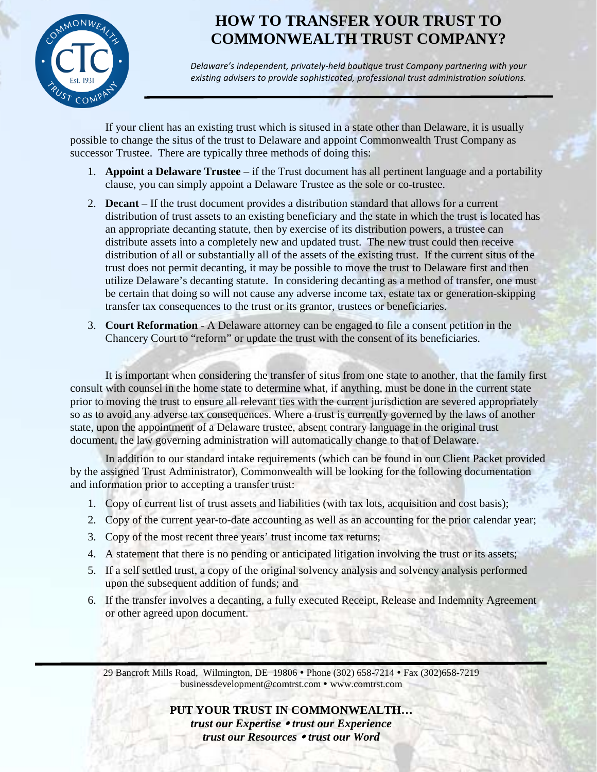

## **HOW TO TRANSFER YOUR TRUST TO COMMONWEALTH TRUST COMPANY?**

*Delaware's independent, privately-held boutique trust Company partnering with your existing advisers to provide sophisticated, professional trust administration solutions.*

If your client has an existing trust which is sitused in a state other than Delaware, it is usually possible to change the situs of the trust to Delaware and appoint Commonwealth Trust Company as successor Trustee. There are typically three methods of doing this:

- 1. **Appoint a Delaware Trustee** if the Trust document has all pertinent language and a portability clause, you can simply appoint a Delaware Trustee as the sole or co-trustee.
- 2. **Decant** If the trust document provides a distribution standard that allows for a current distribution of trust assets to an existing beneficiary and the state in which the trust is located has an appropriate decanting statute, then by exercise of its distribution powers, a trustee can distribute assets into a completely new and updated trust. The new trust could then receive distribution of all or substantially all of the assets of the existing trust. If the current situs of the trust does not permit decanting, it may be possible to move the trust to Delaware first and then utilize Delaware's decanting statute. In considering decanting as a method of transfer, one must be certain that doing so will not cause any adverse income tax, estate tax or generation-skipping transfer tax consequences to the trust or its grantor, trustees or beneficiaries.
- 3. **Court Reformation** A Delaware attorney can be engaged to file a consent petition in the Chancery Court to "reform" or update the trust with the consent of its beneficiaries.

It is important when considering the transfer of situs from one state to another, that the family first consult with counsel in the home state to determine what, if anything, must be done in the current state prior to moving the trust to ensure all relevant ties with the current jurisdiction are severed appropriately so as to avoid any adverse tax consequences. Where a trust is currently governed by the laws of another state, upon the appointment of a Delaware trustee, absent contrary language in the original trust document, the law governing administration will automatically change to that of Delaware.

In addition to our standard intake requirements (which can be found in our Client Packet provided by the assigned Trust Administrator), Commonwealth will be looking for the following documentation and information prior to accepting a transfer trust:

- 1. Copy of current list of trust assets and liabilities (with tax lots, acquisition and cost basis);
- 2. Copy of the current year-to-date accounting as well as an accounting for the prior calendar year;
- 3. Copy of the most recent three years' trust income tax returns;
- 4. A statement that there is no pending or anticipated litigation involving the trust or its assets;
- 5. If a self settled trust, a copy of the original solvency analysis and solvency analysis performed upon the subsequent addition of funds; and
- 6. If the transfer involves a decanting, a fully executed Receipt, Release and Indemnity Agreement or other agreed upon document.

29 Bancroft Mills Road, Wilmington, DE 19806 Phone (302) 658-7214 Fax (302)658-7219 [businessdevelopment@comtrst.com](mailto:businessdevelopment@comtrst.com) www.comtrst.com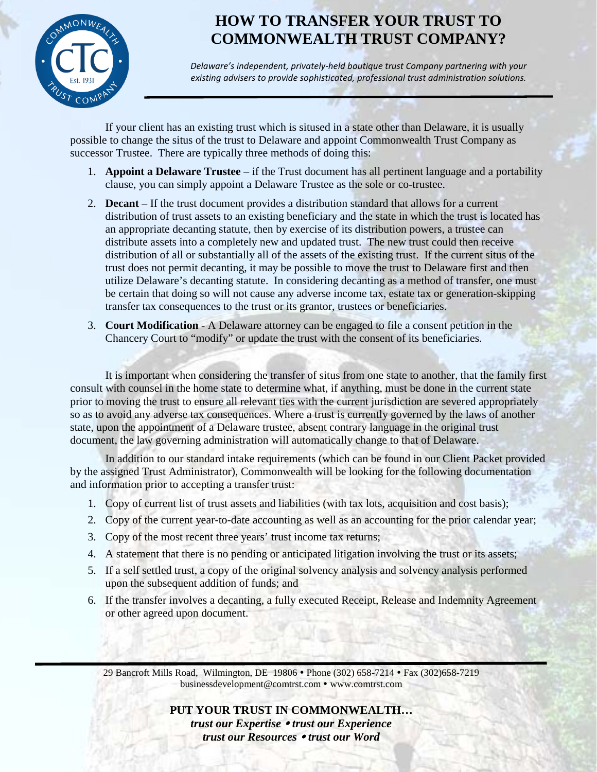

## **HOW TO TRANSFER YOUR TRUST TO COMMONWEALTH TRUST COMPANY?**

*Delaware's independent, privately-held boutique trust Company partnering with your existing advisers to provide sophisticated, professional trust administration solutions.*

If your client has an existing trust which is sitused in a state other than Delaware, it is usually possible to change the situs of the trust to Delaware and appoint Commonwealth Trust Company as successor Trustee. There are typically three methods of doing this:

- 1. **Appoint a Delaware Trustee** if the Trust document has all pertinent language and a portability clause, you can simply appoint a Delaware Trustee as the sole or co-trustee.
- 2. **Decant** If the trust document provides a distribution standard that allows for a current distribution of trust assets to an existing beneficiary and the state in which the trust is located has an appropriate decanting statute, then by exercise of its distribution powers, a trustee can distribute assets into a completely new and updated trust. The new trust could then receive distribution of all or substantially all of the assets of the existing trust. If the current situs of the trust does not permit decanting, it may be possible to move the trust to Delaware first and then utilize Delaware's decanting statute. In considering decanting as a method of transfer, one must be certain that doing so will not cause any adverse income tax, estate tax or generation-skipping transfer tax consequences to the trust or its grantor, trustees or beneficiaries.
- 3. **Court Modification** A Delaware attorney can be engaged to file a consent petition in the Chancery Court to "modify" or update the trust with the consent of its beneficiaries.

It is important when considering the transfer of situs from one state to another, that the family first consult with counsel in the home state to determine what, if anything, must be done in the current state prior to moving the trust to ensure all relevant ties with the current jurisdiction are severed appropriately so as to avoid any adverse tax consequences. Where a trust is currently governed by the laws of another state, upon the appointment of a Delaware trustee, absent contrary language in the original trust document, the law governing administration will automatically change to that of Delaware.

In addition to our standard intake requirements (which can be found in our Client Packet provided by the assigned Trust Administrator), Commonwealth will be looking for the following documentation and information prior to accepting a transfer trust:

- 1. Copy of current list of trust assets and liabilities (with tax lots, acquisition and cost basis);
- 2. Copy of the current year-to-date accounting as well as an accounting for the prior calendar year;
- 3. Copy of the most recent three years' trust income tax returns;
- 4. A statement that there is no pending or anticipated litigation involving the trust or its assets;
- 5. If a self settled trust, a copy of the original solvency analysis and solvency analysis performed upon the subsequent addition of funds; and
- 6. If the transfer involves a decanting, a fully executed Receipt, Release and Indemnity Agreement or other agreed upon document.

29 Bancroft Mills Road, Wilmington, DE 19806 Phone (302) 658-7214 Fax (302)658-7219 [businessdevelopment@comtrst.com](mailto:businessdevelopment@comtrst.com) www.comtrst.com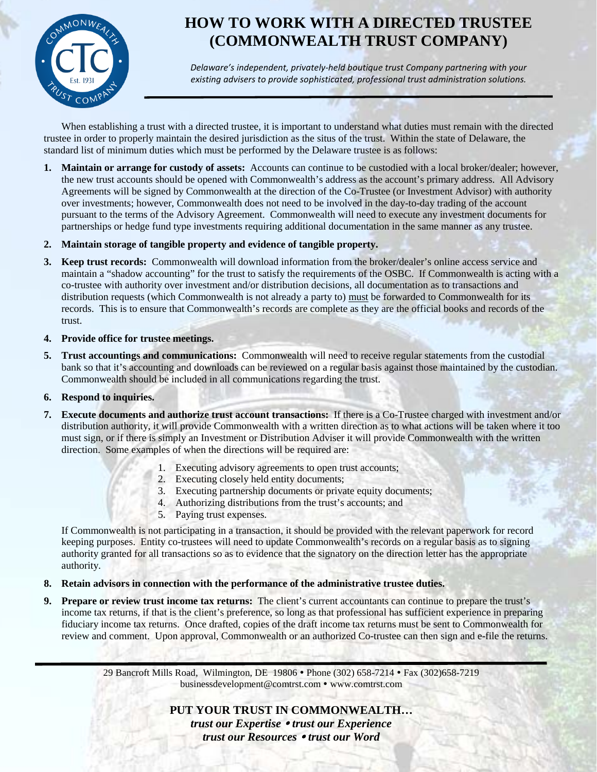

# **HOW TO WORK WITH A DIRECTED TRUSTEE (COMMONWEALTH TRUST COMPANY)**

*Delaware's independent, privately-held boutique trust Company partnering with your existing advisers to provide sophisticated, professional trust administration solutions.*

When establishing a trust with a directed trustee, it is important to understand what duties must remain with the directed trustee in order to properly maintain the desired jurisdiction as the situs of the trust. Within the state of Delaware, the standard list of minimum duties which must be performed by the Delaware trustee is as follows:

**1. Maintain or arrange for custody of assets:** Accounts can continue to be custodied with a local broker/dealer; however, the new trust accounts should be opened with Commonwealth's address as the account's primary address. All Advisory Agreements will be signed by Commonwealth at the direction of the Co-Trustee (or Investment Advisor) with authority over investments; however, Commonwealth does not need to be involved in the day-to-day trading of the account pursuant to the terms of the Advisory Agreement.Commonwealth will need to execute any investment documents for partnerships or hedge fund type investments requiring additional documentation in the same manner as any trustee.

### **2. Maintain storage of tangible property and evidence of tangible property.**

- **3. Keep trust records:** Commonwealth will download information from the broker/dealer's online access service and maintain a "shadow accounting" for the trust to satisfy the requirements of the OSBC. If Commonwealth is acting with a co-trustee with authority over investment and/or distribution decisions, all documentation as to transactions and distribution requests (which Commonwealth is not already a party to) must be forwarded to Commonwealth for its records. This is to ensure that Commonwealth's records are complete as they are the official books and records of the trust.
- **4. Provide office for trustee meetings.**
- **5. Trust accountings and communications:** Commonwealth will need to receive regular statements from the custodial bank so that it's accounting and downloads can be reviewed on a regular basis against those maintained by the custodian. Commonwealth should be included in all communications regarding the trust.

### **6. Respond to inquiries.**

- **7. Execute documents and authorize trust account transactions:** If there is a Co-Trustee charged with investment and/or distribution authority, it will provide Commonwealth with a written direction as to what actions will be taken where it too must sign, or if there is simply an Investment or Distribution Adviser it will provide Commonwealth with the written direction. Some examples of when the directions will be required are:
	- 1. Executing advisory agreements to open trust accounts;
	- 2. Executing closely held entity documents;
	- 3. Executing partnership documents or private equity documents;
	- 4. Authorizing distributions from the trust's accounts; and
	- 5. Paying trust expenses.

If Commonwealth is not participating in a transaction, it should be provided with the relevant paperwork for record keeping purposes. Entity co-trustees will need to update Commonwealth's records on a regular basis as to signing authority granted for all transactions so as to evidence that the signatory on the direction letter has the appropriate authority.

### **8. Retain advisors in connection with the performance of the administrative trustee duties.**

**9. Prepare or review trust income tax returns:** The client's current accountants can continue to prepare the trust's income tax returns, if that is the client's preference, so long as that professional has sufficient experience in preparing fiduciary income tax returns. Once drafted, copies of the draft income tax returns must be sent to Commonwealth for review and comment.Upon approval, Commonwealth or an authorized Co-trustee can then sign and e-file the returns.

> 29 Bancroft Mills Road, Wilmington, DE 19806 Phone (302) 658-7214 Fax (302)658-7219 [businessdevelopment@comtrst.com](mailto:businessdevelopment@comtrst.com) www.comtrst.com